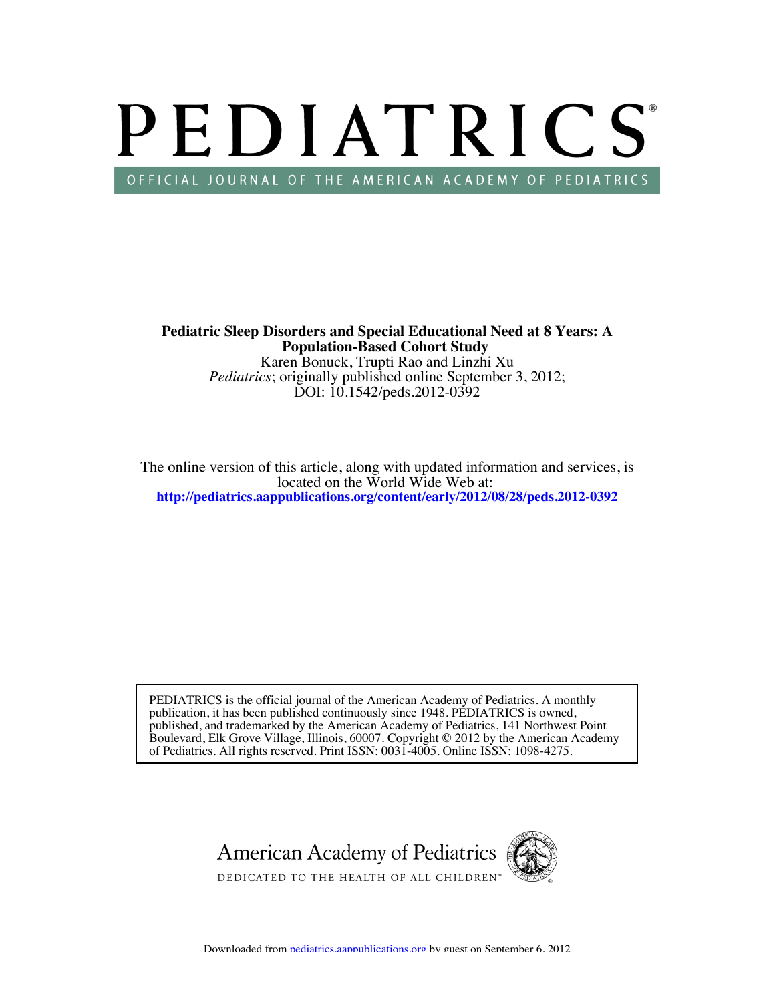# PEDIATRICS OFFICIAL JOURNAL OF THE AMERICAN ACADEMY OF PEDIATRICS

DOI: 10.1542/peds.2012-0392 *Pediatrics*; originally published online September 3, 2012; Karen Bonuck, Trupti Rao and Linzhi Xu **Population-Based Cohort Study Pediatric Sleep Disorders and Special Educational Need at 8 Years: A**

**<http://pediatrics.aappublications.org/content/early/2012/08/28/peds.2012-0392>** located on the World Wide Web at: The online version of this article, along with updated information and services, is

of Pediatrics. All rights reserved. Print ISSN: 0031-4005. Online ISSN: 1098-4275. Boulevard, Elk Grove Village, Illinois, 60007. Copyright © 2012 by the American Academy published, and trademarked by the American Academy of Pediatrics, 141 Northwest Point publication, it has been published continuously since 1948. PEDIATRICS is owned, PEDIATRICS is the official journal of the American Academy of Pediatrics. A monthly

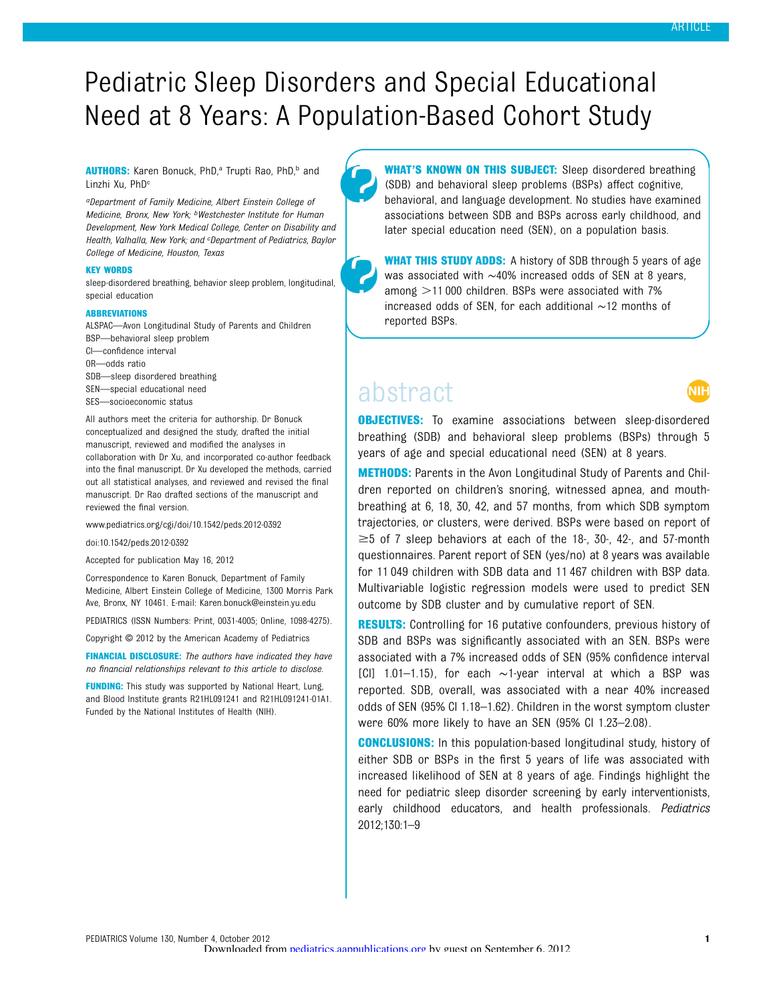# Pediatric Sleep Disorders and Special Educational Need at 8 Years: A Population-Based Cohort Study

AUTHORS: Karen Bonuck, PhD,<sup>a</sup> Trupti Rao, PhD,<sup>b</sup> and Linzhi Xu, PhD<sup>c</sup>

aDepartment of Family Medicine, Albert Einstein College of Medicine, Bronx, New York; bWestchester Institute for Human Development, New York Medical College, Center on Disability and Health, Valhalla, New York; and <sup>c</sup>Department of Pediatrics, Baylor College of Medicine, Houston, Texas

#### KEY WORDS

sleep-disordered breathing, behavior sleep problem, longitudinal, special education

#### **ABBREVIATIONS**

ALSPAC—Avon Longitudinal Study of Parents and Children BSP—behavioral sleep problem CI—confidence interval OR—odds ratio SDB—sleep disordered breathing SEN—special educational need SES—socioeconomic status

All authors meet the criteria for authorship. Dr Bonuck conceptualized and designed the study, drafted the initial manuscript, reviewed and modified the analyses in collaboration with Dr Xu, and incorporated co-author feedback into the final manuscript. Dr Xu developed the methods, carried out all statistical analyses, and reviewed and revised the final manuscript. Dr Rao drafted sections of the manuscript and reviewed the final version.

www.pediatrics.org/cgi/doi/10.1542/peds.2012-0392

doi:10.1542/peds.2012-0392

Accepted for publication May 16, 2012

Correspondence to Karen Bonuck, Department of Family Medicine, Albert Einstein College of Medicine, 1300 Morris Park Ave, Bronx, NY 10461. E-mail: [Karen.bonuck@einstein.yu.edu](mailto:Karen.bonuck@einstein.yu.edu)

PEDIATRICS (ISSN Numbers: Print, 0031-4005; Online, 1098-4275).

Copyright © 2012 by the American Academy of Pediatrics

FINANCIAL DISCLOSURE: The authors have indicated they have no financial relationships relevant to this article to disclose.

FUNDING: This study was supported by National Heart, Lung, and Blood Institute grants R21HL091241 and R21HL091241-01A1. Funded by the National Institutes of Health (NIH).

WHAT'S KNOWN ON THIS SUBJECT: Sleep disordered breathing (SDB) and behavioral sleep problems (BSPs) affect cognitive, behavioral, and language development. No studies have examined associations between SDB and BSPs across early childhood, and later special education need (SEN), on a population basis.

WHAT THIS STUDY ADDS: A history of SDB through 5 years of age was associated with ~40% increased odds of SEN at 8 years, among  $>11000$  children. BSPs were associated with 7% increased odds of SEN, for each additional ∼12 months of reported BSPs.

# abstract

NIF

**OBJECTIVES:** To examine associations between sleep-disordered breathing (SDB) and behavioral sleep problems (BSPs) through 5 years of age and special educational need (SEN) at 8 years.

**METHODS:** Parents in the Avon Longitudinal Study of Parents and Children reported on children's snoring, witnessed apnea, and mouthbreathing at 6, 18, 30, 42, and 57 months, from which SDB symptom trajectories, or clusters, were derived. BSPs were based on report of  $\geq$  5 of 7 sleep behaviors at each of the 18-, 30-, 42-, and 57-month questionnaires. Parent report of SEN (yes/no) at 8 years was available for 11 049 children with SDB data and 11 467 children with BSP data. Multivariable logistic regression models were used to predict SEN outcome by SDB cluster and by cumulative report of SEN.

**RESULTS:** Controlling for 16 putative confounders, previous history of SDB and BSPs was significantly associated with an SEN. BSPs were associated with a 7% increased odds of SEN (95% confidence interval [CI] 1.01–1.15), for each ∼1-year interval at which a BSP was reported. SDB, overall, was associated with a near 40% increased odds of SEN (95% CI 1.18–1.62). Children in the worst symptom cluster were 60% more likely to have an SEN (95% CI 1.23–2.08).

**CONCLUSIONS:** In this population-based longitudinal study, history of either SDB or BSPs in the first 5 years of life was associated with increased likelihood of SEN at 8 years of age. Findings highlight the need for pediatric sleep disorder screening by early interventionists, early childhood educators, and health professionals. Pediatrics 2012;130:1–9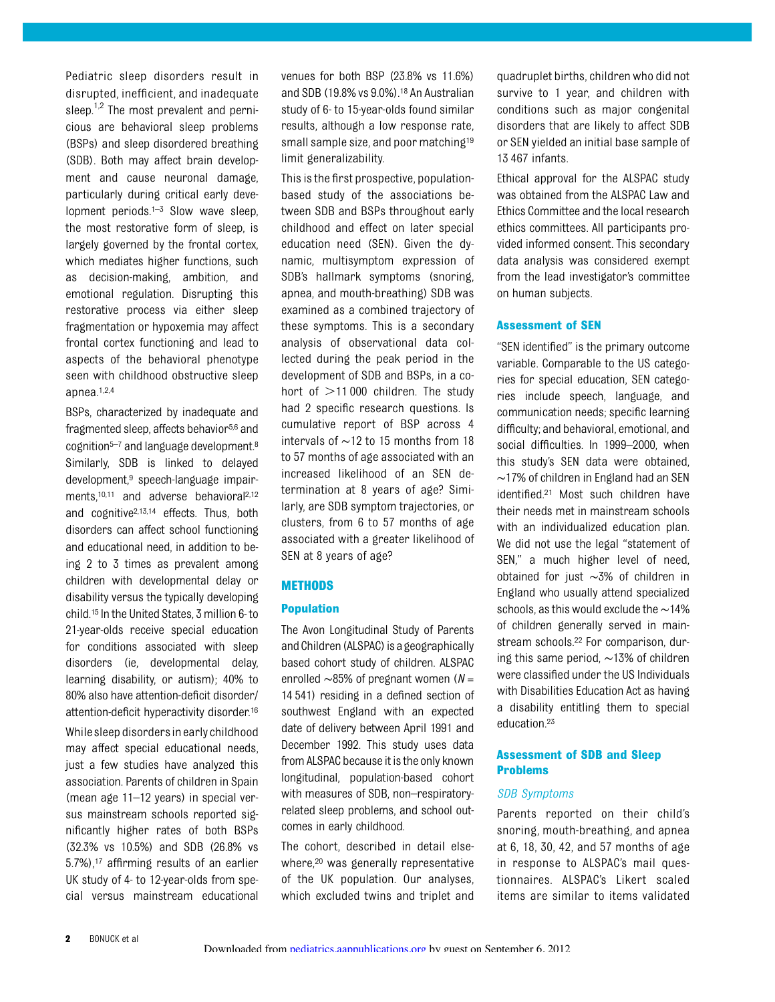Pediatric sleep disorders result in disrupted, inefficient, and inadequate sleep. $1,2$  The most prevalent and pernicious are behavioral sleep problems (BSPs) and sleep disordered breathing (SDB). Both may affect brain development and cause neuronal damage, particularly during critical early development periods.<sup>1-3</sup> Slow wave sleep, the most restorative form of sleep, is largely governed by the frontal cortex, which mediates higher functions, such as decision-making, ambition, and emotional regulation. Disrupting this restorative process via either sleep fragmentation or hypoxemia may affect frontal cortex functioning and lead to aspects of the behavioral phenotype seen with childhood obstructive sleep apnea.1,2,4

BSPs, characterized by inadequate and

fragmented sleep, affects behavior<sup>5,6</sup> and cognition<sup>5-7</sup> and language development.<sup>8</sup> Similarly, SDB is linked to delayed development,9 speech-language impairments,<sup>10,11</sup> and adverse behavioral<sup>2,12</sup> and cognitive2,13,14 effects. Thus, both disorders can affect school functioning and educational need, in addition to being 2 to 3 times as prevalent among children with developmental delay or disability versus the typically developing child.15 In the United States, 3 million 6- to 21-year-olds receive special education for conditions associated with sleep disorders (ie, developmental delay, learning disability, or autism); 40% to 80% also have attention-deficit disorder/ attention-deficit hyperactivity disorder.16 While sleep disorders in early childhood may affect special educational needs, just a few studies have analyzed this association. Parents of children in Spain (mean age 11–12 years) in special versus mainstream schools reported significantly higher rates of both BSPs (32.3% vs 10.5%) and SDB (26.8% vs 5.7%),17 affirming results of an earlier UK study of 4- to 12-year-olds from special versus mainstream educational venues for both BSP (23.8% vs 11.6%) and SDB (19.8% vs 9.0%).18 An Australian study of 6- to 15-year-olds found similar results, although a low response rate, small sample size, and poor matching<sup>19</sup> limit generalizability.

This is the first prospective, populationbased study of the associations between SDB and BSPs throughout early childhood and effect on later special education need (SEN). Given the dynamic, multisymptom expression of SDB's hallmark symptoms (snoring, apnea, and mouth-breathing) SDB was examined as a combined trajectory of these symptoms. This is a secondary analysis of observational data collected during the peak period in the development of SDB and BSPs, in a cohort of  $>11000$  children. The study had 2 specific research questions. Is cumulative report of BSP across 4 intervals of ∼12 to 15 months from 18 to 57 months of age associated with an increased likelihood of an SEN determination at 8 years of age? Similarly, are SDB symptom trajectories, or clusters, from 6 to 57 months of age associated with a greater likelihood of SEN at 8 years of age?

#### **METHODS**

# Population

The Avon Longitudinal Study of Parents and Children (ALSPAC) is a geographically based cohort study of children. ALSPAC enrolled  $\sim$ 85% of pregnant women ( $N =$ 14 541) residing in a defined section of southwest England with an expected date of delivery between April 1991 and December 1992. This study uses data from ALSPAC because it is the only known longitudinal, population-based cohort with measures of SDB, non–respiratoryrelated sleep problems, and school outcomes in early childhood.

The cohort, described in detail elsewhere,<sup>20</sup> was generally representative of the UK population. Our analyses, which excluded twins and triplet and

quadruplet births, children who did not survive to 1 year, and children with conditions such as major congenital disorders that are likely to affect SDB or SEN yielded an initial base sample of 13 467 infants.

Ethical approval for the ALSPAC study was obtained from the ALSPAC Law and Ethics Committee and the local research ethics committees. All participants provided informed consent. This secondary data analysis was considered exempt from the lead investigator's committee on human subjects.

# Assessment of SEN

"SEN identified" is the primary outcome variable. Comparable to the US categories for special education, SEN categories include speech, language, and communication needs; specific learning difficulty; and behavioral, emotional, and social difficulties. In 1999–2000, when this study's SEN data were obtained, ∼17% of children in England had an SEN identified.21 Most such children have their needs met in mainstream schools with an individualized education plan. We did not use the legal "statement of SEN," a much higher level of need, obtained for just ∼3% of children in England who usually attend specialized schools, as this would exclude the∼14% of children generally served in mainstream schools.22 For comparison, during this same period, ∼13% of children were classified under the US Individuals with Disabilities Education Act as having a disability entitling them to special education.23

# Assessment of SDB and Sleep Problems

#### SDB Symptoms

Parents reported on their child's snoring, mouth-breathing, and apnea at 6, 18, 30, 42, and 57 months of age in response to ALSPAC's mail questionnaires. ALSPAC's Likert scaled items are similar to items validated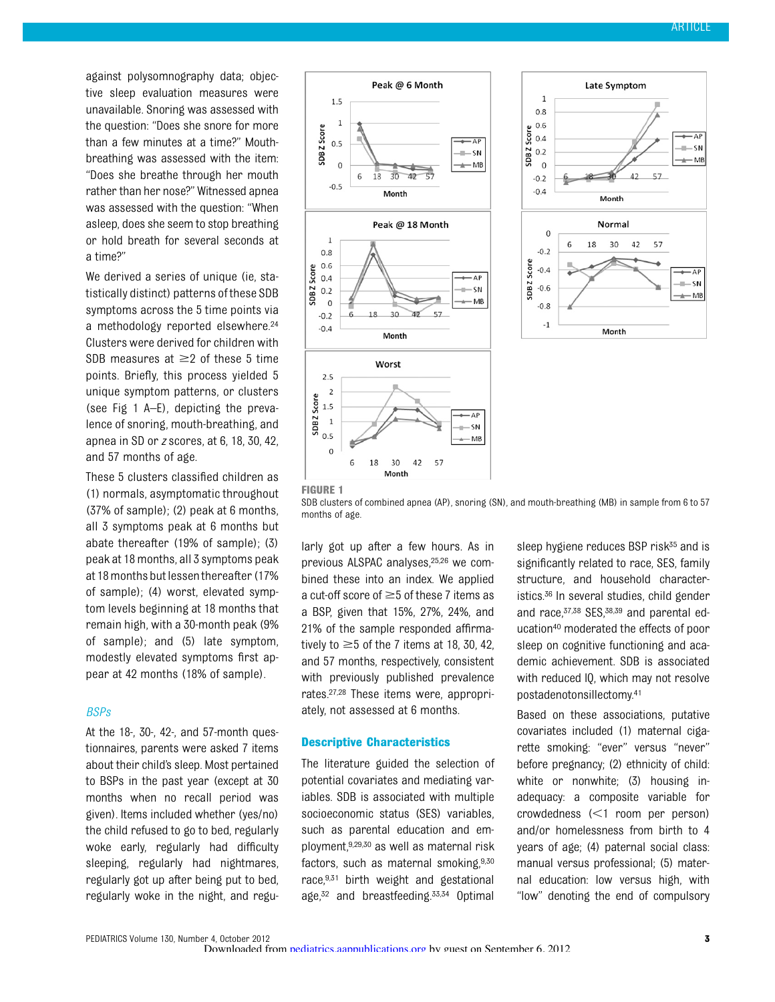against polysomnography data; objective sleep evaluation measures were unavailable. Snoring was assessed with the question: "Does she snore for more than a few minutes at a time?" Mouthbreathing was assessed with the item: "Does she breathe through her mouth rather than her nose?" Witnessed apnea was assessed with the question: "When asleep, does she seem to stop breathing or hold breath for several seconds at a time?"

We derived a series of unique (ie, statistically distinct) patterns of these SDB symptoms across the 5 time points via a methodology reported elsewhere.24 Clusters were derived for children with SDB measures at  $\geq$  2 of these 5 time points. Briefly, this process yielded 5 unique symptom patterns, or clusters (see Fig 1 A–E), depicting the prevalence of snoring, mouth-breathing, and apnea in SD or z scores, at 6, 18, 30, 42, and 57 months of age.

These 5 clusters classified children as (1) normals, asymptomatic throughout (37% of sample); (2) peak at 6 months, all 3 symptoms peak at 6 months but abate thereafter (19% of sample); (3) peak at 18 months, all 3 symptoms peak at 18 months but lessenthereafter (17% of sample); (4) worst, elevated symptom levels beginning at 18 months that remain high, with a 30-month peak (9% of sample); and (5) late symptom, modestly elevated symptoms first appear at 42 months (18% of sample).

#### BSPs

At the 18-, 30-, 42-, and 57-month questionnaires, parents were asked 7 items about their child's sleep. Most pertained to BSPs in the past year (except at 30 months when no recall period was given). Items included whether (yes/no) the child refused to go to bed, regularly woke early, regularly had difficulty sleeping, regularly had nightmares, regularly got up after being put to bed, regularly woke in the night, and regu-





SDB clusters of combined apnea (AP), snoring (SN), and mouth-breathing (MB) in sample from 6 to 57 months of age.

larly got up after a few hours. As in previous ALSPAC analyses,25,26 we combined these into an index. We applied a cut-off score of  $\geq$  5 of these 7 items as a BSP, given that 15%, 27%, 24%, and 21% of the sample responded affirmatively to  $\geq$  5 of the 7 items at 18, 30, 42. and 57 months, respectively, consistent with previously published prevalence rates.27,28 These items were, appropriately, not assessed at 6 months.

### Descriptive Characteristics

The literature guided the selection of potential covariates and mediating variables. SDB is associated with multiple socioeconomic status (SES) variables, such as parental education and employment,9,29,30 as well as maternal risk factors, such as maternal smoking, 9,30 race,9,31 birth weight and gestational age,32 and breastfeeding.33,34 Optimal sleep hygiene reduces BSP risk<sup>35</sup> and is significantly related to race, SES, family structure, and household characteristics.36 In several studies, child gender and race, 37,38 SES, 38,39 and parental education40 moderated the effects of poor sleep on cognitive functioning and academic achievement. SDB is associated with reduced IQ, which may not resolve postadenotonsillectomy.41

Based on these associations, putative covariates included (1) maternal cigarette smoking: "ever" versus "never" before pregnancy; (2) ethnicity of child: white or nonwhite; (3) housing inadequacy: a composite variable for crowdedness  $\leq 1$  room per person) and/or homelessness from birth to 4 years of age; (4) paternal social class: manual versus professional; (5) maternal education: low versus high, with "low" denoting the end of compulsory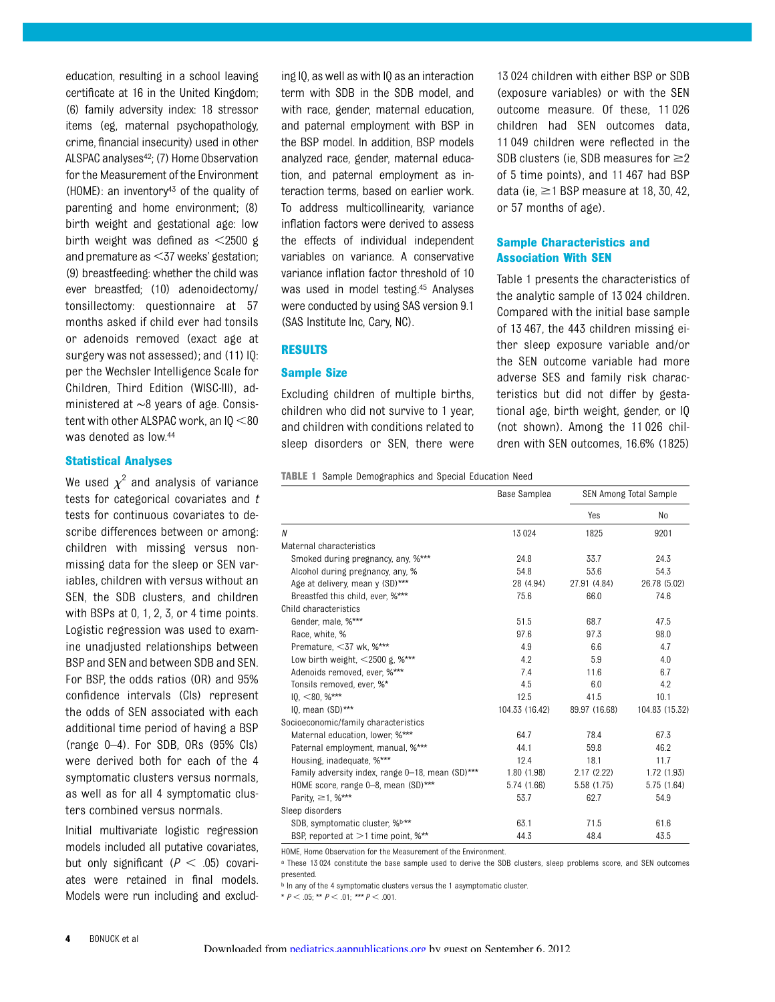education, resulting in a school leaving certificate at 16 in the United Kingdom; (6) family adversity index: 18 stressor items (eg, maternal psychopathology, crime, financial insecurity) used in other ALSPAC analyses<sup>42</sup>; (7) Home Observation for the Measurement of the Environment (HOME): an inventory43 of the quality of parenting and home environment; (8) birth weight and gestational age: low birth weight was defined as  $\leq$ 2500 g and premature as  $<$ 37 weeks' gestation; (9) breastfeeding: whether the child was ever breastfed; (10) adenoidectomy/ tonsillectomy: questionnaire at 57 months asked if child ever had tonsils or adenoids removed (exact age at surgery was not assessed); and (11) IQ: per the Wechsler Intelligence Scale for Children, Third Edition (WISC-III), administered at ∼8 years of age. Consistent with other ALSPAC work, an  $10 < 80$ was denoted as low.44

#### Statistical Analyses

We used  $\chi^2$  and analysis of variance tests for categorical covariates and  $t$ tests for continuous covariates to describe differences between or among: children with missing versus nonmissing data for the sleep or SEN variables, children with versus without an SEN, the SDB clusters, and children with BSPs at 0, 1, 2, 3, or 4 time points. Logistic regression was used to examine unadjusted relationships between BSP and SEN and between SDB and SEN. For BSP, the odds ratios (OR) and 95% confidence intervals (CIs) represent the odds of SEN associated with each additional time period of having a BSP (range 0–4). For SDB, ORs (95% CIs) were derived both for each of the 4 symptomatic clusters versus normals, as well as for all 4 symptomatic clusters combined versus normals.

Initial multivariate logistic regression models included all putative covariates, but only significant ( $P < .05$ ) covariates were retained in final models. Models were run including and exclud-

ing IQ, as well as with IQ as an interaction term with SDB in the SDB model, and with race, gender, maternal education, and paternal employment with BSP in the BSP model. In addition, BSP models analyzed race, gender, maternal education, and paternal employment as interaction terms, based on earlier work. To address multicollinearity, variance inflation factors were derived to assess the effects of individual independent variables on variance. A conservative variance inflation factor threshold of 10 was used in model testing.45 Analyses were conducted by using SAS version 9.1 (SAS Institute Inc, Cary, NC).

#### RESULTS

#### Sample Size

Excluding children of multiple births, children who did not survive to 1 year, and children with conditions related to sleep disorders or SEN, there were

13 024 children with either BSP or SDB (exposure variables) or with the SEN outcome measure. Of these, 11 026 children had SEN outcomes data, 11 049 children were reflected in the SDB clusters (ie, SDB measures for  $\geq$ 2 of 5 time points), and 11 467 had BSP data (ie,  $\geq$ 1 BSP measure at 18, 30, 42, or 57 months of age).

### Sample Characteristics and Association With SEN

Table 1 presents the characteristics of the analytic sample of 13 024 children. Compared with the initial base sample of 13 467, the 443 children missing either sleep exposure variable and/or the SEN outcome variable had more adverse SES and family risk characteristics but did not differ by gestational age, birth weight, gender, or IQ (not shown). Among the 11 026 children with SEN outcomes, 16.6% (1825)

|  |  | <b>TABLE 1</b> Sample Demographics and Special Education Need |  |  |  |  |
|--|--|---------------------------------------------------------------|--|--|--|--|
|--|--|---------------------------------------------------------------|--|--|--|--|

|                                                  | Base Samplea   |               | <b>SEN Among Total Sample</b> |  |  |  |
|--------------------------------------------------|----------------|---------------|-------------------------------|--|--|--|
|                                                  |                | Yes           | No                            |  |  |  |
| N                                                | 13024          | 1825          | 9201                          |  |  |  |
| Maternal characteristics                         |                |               |                               |  |  |  |
| Smoked during pregnancy, any, %***               | 24.8           | 33.7          | 24.3                          |  |  |  |
| Alcohol during pregnancy, any, %                 | 54.8           | 53.6          | 54.3                          |  |  |  |
| Age at delivery, mean y (SD)***                  | 28 (4.94)      | 27.91 (4.84)  | 26.78 (5.02)                  |  |  |  |
| Breastfed this child, ever, %***                 | 75.6           | 66.0          | 74.6                          |  |  |  |
| Child characteristics                            |                |               |                               |  |  |  |
| Gender, male, %***                               | 51.5           | 68.7          | 47.5                          |  |  |  |
| Race, white, %                                   | 97.6           | 97.3          | 98.0                          |  |  |  |
| Premature, $<$ 37 wk, %***                       | 4.9            | 6.6           | 4.7                           |  |  |  |
| Low birth weight, $\leq$ 2500 g, %***            | 4.2            | 5.9           | 4.0                           |  |  |  |
| Adenoids removed, ever, %***                     | 7.4            | 11.6          | 6.7                           |  |  |  |
| Tonsils removed, ever, %*                        | 4.5            | 6.0           | 4.2                           |  |  |  |
| $10, <80, \%$ ***                                | 12.5           | 41.5          | 10.1                          |  |  |  |
| $10$ , mean $(SD)$ ***                           | 104.33 (16.42) | 89.97 (16.68) | 104.83 (15.32)                |  |  |  |
| Socioeconomic/family characteristics             |                |               |                               |  |  |  |
| Maternal education, lower, %***                  | 64.7           | 78.4          | 67.3                          |  |  |  |
| Paternal employment, manual, %***                | 44.1           | 59.8          | 46.2                          |  |  |  |
| Housing, inadequate, %***                        | 12.4           | 18.1          | 11.7                          |  |  |  |
| Family adversity index, range 0-18, mean (SD)*** | 1.80(1.98)     | 2.17(2.22)    | 1.72 (1.93)                   |  |  |  |
| HOME score, range 0-8, mean (SD)***              | 5.74 (1.66)    | 5.58 (1.75)   | 5.75(1.64)                    |  |  |  |
| Parity, ≥1, %***                                 | 53.7           | 62.7          | 54.9                          |  |  |  |
| Sleep disorders                                  |                |               |                               |  |  |  |
| SDB, symptomatic cluster, %b,**                  | 63.1           | 71.5          | 61.6                          |  |  |  |
| BSP, reported at $>1$ time point, %**            | 44.3           | 48.4          | 43.5                          |  |  |  |

HOME, Home Observation for the Measurement of the Environment.

<sup>a</sup> These 13 024 constitute the base sample used to derive the SDB clusters, sleep problems score, and SEN outcomes presented.

**b** In any of the 4 symptomatic clusters versus the 1 asymptomatic cluster.

\*  $P < .05$ ; \*\*  $P < .01$ ; \*\*\*  $P < .001$ .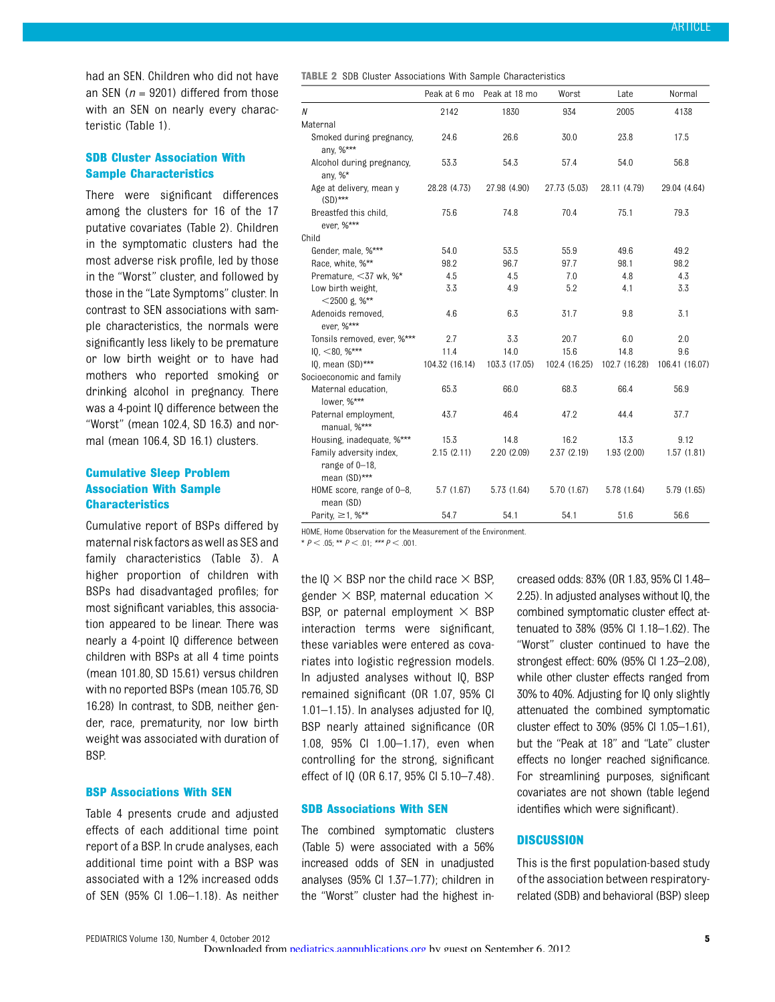had an SEN. Children who did not have an SEN ( $n = 9201$ ) differed from those with an SEN on nearly every characteristic (Table 1).

# SDB Cluster Association With Sample Characteristics

There were significant differences among the clusters for 16 of the 17 putative covariates (Table 2). Children in the symptomatic clusters had the most adverse risk profile, led by those in the "Worst" cluster, and followed by those in the "Late Symptoms" cluster. In contrast to SEN associations with sample characteristics, the normals were significantly less likely to be premature or low birth weight or to have had mothers who reported smoking or drinking alcohol in pregnancy. There was a 4-point IQ difference between the "Worst" (mean 102.4, SD 16.3) and normal (mean 106.4, SD 16.1) clusters.

# Cumulative Sleep Problem Association With Sample **Characteristics**

Cumulative report of BSPs differed by maternal risk factors aswell as SES and family characteristics (Table 3). A higher proportion of children with BSPs had disadvantaged profiles; for most significant variables, this association appeared to be linear. There was nearly a 4-point IQ difference between children with BSPs at all 4 time points (mean 101.80, SD 15.61) versus children with no reported BSPs (mean 105.76, SD 16.28) In contrast, to SDB, neither gender, race, prematurity, nor low birth weight was associated with duration of BSP.

#### BSP Associations With SEN

Table 4 presents crude and adjusted effects of each additional time point report of a BSP. In crude analyses, each additional time point with a BSP was associated with a 12% increased odds of SEN (95% CI 1.06–1.18). As neither

TABLE 2 SDB Cluster Associations With Sample Characteristics

|                                                           | Peak at 6 mo   | Peak at 18 mo | Worst         | Late          | Normal         |
|-----------------------------------------------------------|----------------|---------------|---------------|---------------|----------------|
| N                                                         | 2142           | 1830          | 934           | 2005          | 4138           |
| Maternal                                                  |                |               |               |               |                |
| Smoked during pregnancy,<br>any, %***                     | 24.6           | 26.6          | 30.0          | 23.8          | 17.5           |
| Alcohol during pregnancy,<br>any, $\%^*$                  | 53.3           | 54.3          | 57.4          | 54.0          | 56.8           |
| Age at delivery, mean y<br>$(SD)$ ***                     | 28.28 (4.73)   | 27.98 (4.90)  | 27.73 (5.03)  | 28.11 (4.79)  | 29.04 (4.64)   |
| Breastfed this child,<br>ever, %***                       | 75.6           | 74.8          | 70.4          | 75.1          | 79.3           |
| Child                                                     |                |               |               |               |                |
| Gender, male, %***                                        | 54.0           | 53.5          | 55.9          | 49.6          | 49.2           |
| Race, white, %**                                          | 98.2           | 96.7          | 97.7          | 98.1          | 98.2           |
| Premature, <37 wk, %*                                     | 4.5            | 4.5           | 7.0           | 4.8           | 4.3            |
| Low birth weight,<br>$<$ 2500 g, %**                      | 3.3            | 4.9           | 5.2           | 4.1           | 3.3            |
| Adenoids removed,<br>ever, %***                           | 4.6            | 6.3           | 31.7          | 9.8           | 3.1            |
| Tonsils removed, ever, %***                               | 2.7            | 3.3           | 20.7          | 6.0           | 2.0            |
| $10,$ < 80, %***                                          | 11.4           | 14.0          | 15.6          | 14.8          | 9.6            |
| $10$ , mean $(SD)$ ***                                    | 104.32 (16.14) | 103.3 (17.05) | 102.4 (16.25) | 102.7 (16.28) | 106.41 (16.07) |
| Socioeconomic and family                                  |                |               |               |               |                |
| Maternal education,<br>lower, %***                        | 65.3           | 66.0          | 68.3          | 66.4          | 56.9           |
| Paternal employment,<br>manual, %***                      | 43.7           | 46.4          | 47.2          | 44.4          | 37.7           |
| Housing, inadequate, %***                                 | 15.3           | 14.8          | 16.2          | 13.3          | 9.12           |
| Family adversity index,<br>range of 0-18,<br>mean (SD)*** | 2.15(2.11)     | 2.20(2.09)    | 2.37(2.19)    | 1.93(2.00)    | 1.57(1.81)     |
| HOME score, range of 0-8,<br>mean (SD)                    | 5.7(1.67)      | 5.73 (1.64)   | 5.70 (1.67)   | 5.78 (1.64)   | 5.79 (1.65)    |
| Parity, $\geq$ 1, %**                                     | 54.7           | 54.1          | 54.1          | 51.6          | 56.6           |

HOME, Home Observation for the Measurement of the Environment.

\*  $P < .05$ ; \*\*  $P < .01$ ; \*\*\*  $P < .001$ .

the IQ  $\times$  BSP nor the child race  $\times$  BSP, gender  $\times$  BSP, maternal education  $\times$ BSP, or paternal employment  $\times$  BSP interaction terms were significant, these variables were entered as covariates into logistic regression models. In adjusted analyses without IQ, BSP remained significant (OR 1.07, 95% CI 1.01–1.15). In analyses adjusted for IQ, BSP nearly attained significance (OR 1.08, 95% CI 1.00–1.17), even when controlling for the strong, significant effect of IQ (OR 6.17, 95% CI 5.10–7.48).

#### SDB Associations With SEN

The combined symptomatic clusters (Table 5) were associated with a 56% increased odds of SEN in unadjusted analyses (95% CI 1.37–1.77); children in the "Worst" cluster had the highest increased odds: 83% (OR 1.83, 95% CI 1.48– 2.25). In adjusted analyses without IQ, the combined symptomatic cluster effect attenuated to 38% (95% CI 1.18–1.62). The "Worst" cluster continued to have the strongest effect: 60% (95% CI 1.23–2.08), while other cluster effects ranged from 30% to 40%. Adjusting for IQ only slightly attenuated the combined symptomatic cluster effect to 30% (95% CI 1.05–1.61), but the "Peak at 18" and "Late" cluster effects no longer reached significance. For streamlining purposes, significant covariates are not shown (table legend identifies which were significant).

#### **DISCUSSION**

This is the first population-based study of the association between respiratoryrelated (SDB) and behavioral (BSP) sleep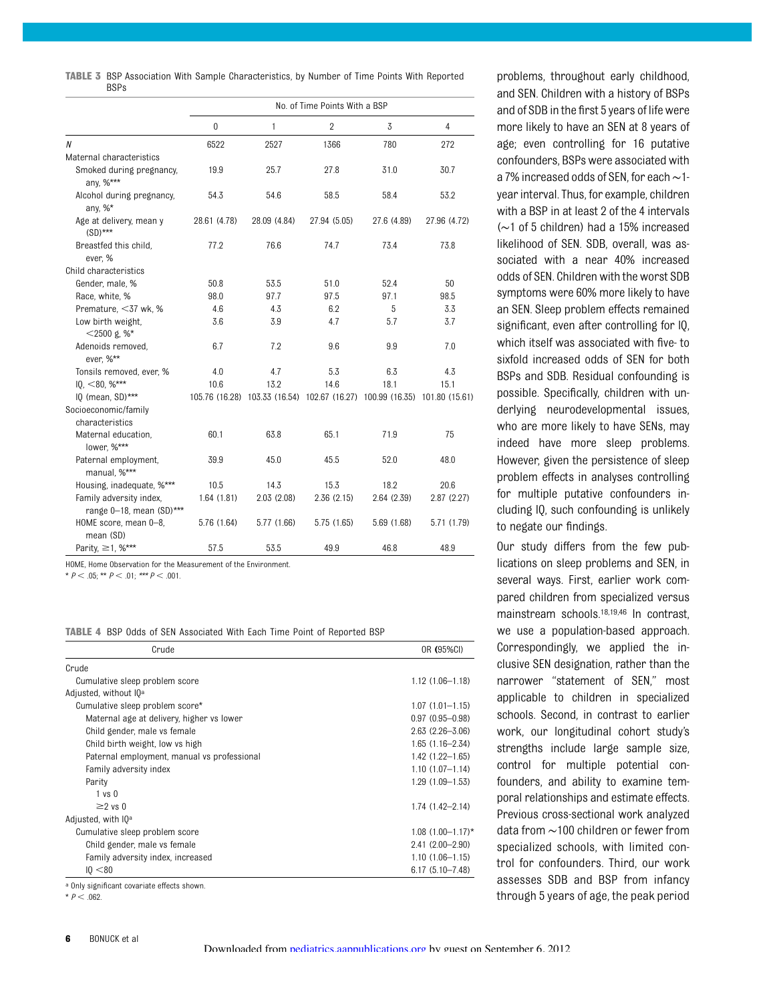| <b>TABLE 3</b> BSP Association With Sample Characteristics, by Number of Time Points With Reported |  |  |  |  |  |
|----------------------------------------------------------------------------------------------------|--|--|--|--|--|
| <b>BSPs</b>                                                                                        |  |  |  |  |  |

|                                         |              |                                                                            | No. of Time Points With a BSP |             |              |
|-----------------------------------------|--------------|----------------------------------------------------------------------------|-------------------------------|-------------|--------------|
|                                         | $\mathbf{0}$ | 1                                                                          | $\overline{2}$                | 3           | 4            |
| Ν                                       | 6522         | 2527                                                                       | 1366                          | 780         | 272          |
| Maternal characteristics                |              |                                                                            |                               |             |              |
| Smoked during pregnancy,<br>any, %***   | 19.9         | 25.7                                                                       | 27.8                          | 31.0        | 30.7         |
| Alcohol during pregnancy,<br>any, $%^*$ | 54.3         | 54.6                                                                       | 58.5                          | 58.4        | 53.2         |
| Age at delivery, mean y<br>$(SD)$ ***   | 28.61 (4.78) | 28.09 (4.84)                                                               | 27.94 (5.05)                  | 27.6 (4.89) | 27.96 (4.72) |
| Breastfed this child,<br>ever, %        | 77.2         | 76.6                                                                       | 74.7                          | 73.4        | 73.8         |
| Child characteristics                   |              |                                                                            |                               |             |              |
| Gender, male, %                         | 50.8         | 53.5                                                                       | 51.0                          | 52.4        | 50           |
| Race, white, %                          | 98.0         | 97.7                                                                       | 97.5                          | 97.1        | 98.5         |
| Premature, <37 wk, %                    | 4.6          | 4.3                                                                        | 6.2                           | 5           | 3.3          |
| Low birth weight,<br>$<$ 2500 g. %*     | 3.6          | 3.9                                                                        | 4.7                           | 5.7         | 3.7          |
| Adenoids removed,<br>ever, %**          | 6.7          | 7.2                                                                        | 9.6                           | 9.9         | 7.0          |
| Tonsils removed, ever, %                | 4.0          | 4.7                                                                        | 5.3                           | 6.3         | 4.3          |
| $10,$ < 80, %***                        | 10.6         | 13.2                                                                       | 14.6                          | 18.1        | 15.1         |
| IQ (mean, SD)***                        |              | 105.76 (16.28) 103.33 (16.54) 102.67 (16.27) 100.99 (16.35) 101.80 (15.61) |                               |             |              |
| Socioeconomic/family                    |              |                                                                            |                               |             |              |
| characteristics                         |              |                                                                            |                               |             |              |
| Maternal education,<br>lower, %***      | 60.1         | 63.8                                                                       | 65.1                          | 71.9        | 75           |
| Paternal employment,<br>manual, %***    | 39.9         | 45.0                                                                       | 45.5                          | 52.0        | 48.0         |
| Housing, inadequate, %***               | 10.5         | 14.3                                                                       | 15.3                          | 18.2        | 20.6         |
| Family adversity index,                 | 1.64(1.81)   | 2.03(2.08)                                                                 | 2.36(2.15)                    | 2.64(2.39)  | 2.87(2.27)   |
| range 0-18, mean (SD)***                |              |                                                                            |                               |             |              |
| HOME score, mean 0-8,<br>mean (SD)      | 5.76 (1.64)  | 5.77 (1.66)                                                                | 5.75 (1.65)                   | 5.69 (1.68) | 5.71 (1.79)  |
| Parity, ≥1, %***                        | 57.5         | 53.5                                                                       | 49.9                          | 46.8        | 48.9         |

HOME, Home Observation for the Measurement of the Environment.

\*  $P < .05$ ; \*\*  $P < .01$ ; \*\*\*  $P < .001$ .

|  |  |  |  |  |  |  |  |  |  | <b>TABLE 4</b> BSP Odds of SEN Associated With Each Time Point of Reported BSP |  |
|--|--|--|--|--|--|--|--|--|--|--------------------------------------------------------------------------------|--|
|--|--|--|--|--|--|--|--|--|--|--------------------------------------------------------------------------------|--|

| $1.12(1.06 - 1.18)$ |
|---------------------|
|                     |
|                     |
|                     |
| $1.07(1.01 - 1.15)$ |
| $0.97(0.95 - 0.98)$ |
| $2.63(2.26 - 3.06)$ |
| $1.65(1.16 - 2.34)$ |
| $1.42(1.22 - 1.65)$ |
| $1.10(1.07 - 1.14)$ |
| $1.29(1.09 - 1.53)$ |
|                     |
| $1.74(1.42 - 2.14)$ |
|                     |
| $1.08$ (1.00-1.17)* |
| $2.41(2.00 - 2.90)$ |
| $1.10(1.06 - 1.15)$ |
| $6.17(5.10 - 7.48)$ |
|                     |

<sup>a</sup> Only significant covariate effects shown.

 $*$  P < .062.

problems, throughout early childhood, and SEN. Children with a history of BSPs and of SDB in the first 5 years of life were more likely to have an SEN at 8 years of age; even controlling for 16 putative confounders, BSPs were associated with a 7% increased odds of SEN, for each∼1 year interval. Thus, for example, children with a BSP in at least 2 of the 4 intervals (∼1 of 5 children) had a 15% increased likelihood of SEN. SDB, overall, was associated with a near 40% increased odds of SEN. Children with the worst SDB symptoms were 60% more likely to have an SEN. Sleep problem effects remained significant, even after controlling for IQ, which itself was associated with five- to sixfold increased odds of SEN for both BSPs and SDB. Residual confounding is possible. Specifically, children with underlying neurodevelopmental issues, who are more likely to have SENs, may indeed have more sleep problems. However, given the persistence of sleep problem effects in analyses controlling for multiple putative confounders including IQ, such confounding is unlikely to negate our findings.

Our study differs from the few publications on sleep problems and SEN, in several ways. First, earlier work compared children from specialized versus mainstream schools.18,19,46 In contrast, we use a population-based approach. Correspondingly, we applied the inclusive SEN designation, rather than the narrower "statement of SEN," most applicable to children in specialized schools. Second, in contrast to earlier work, our longitudinal cohort study's strengths include large sample size, control for multiple potential confounders, and ability to examine temporal relationships and estimate effects. Previous cross-sectional work analyzed data from ∼100 children or fewer from specialized schools, with limited control for confounders. Third, our work assesses SDB and BSP from infancy through 5 years of age, the peak period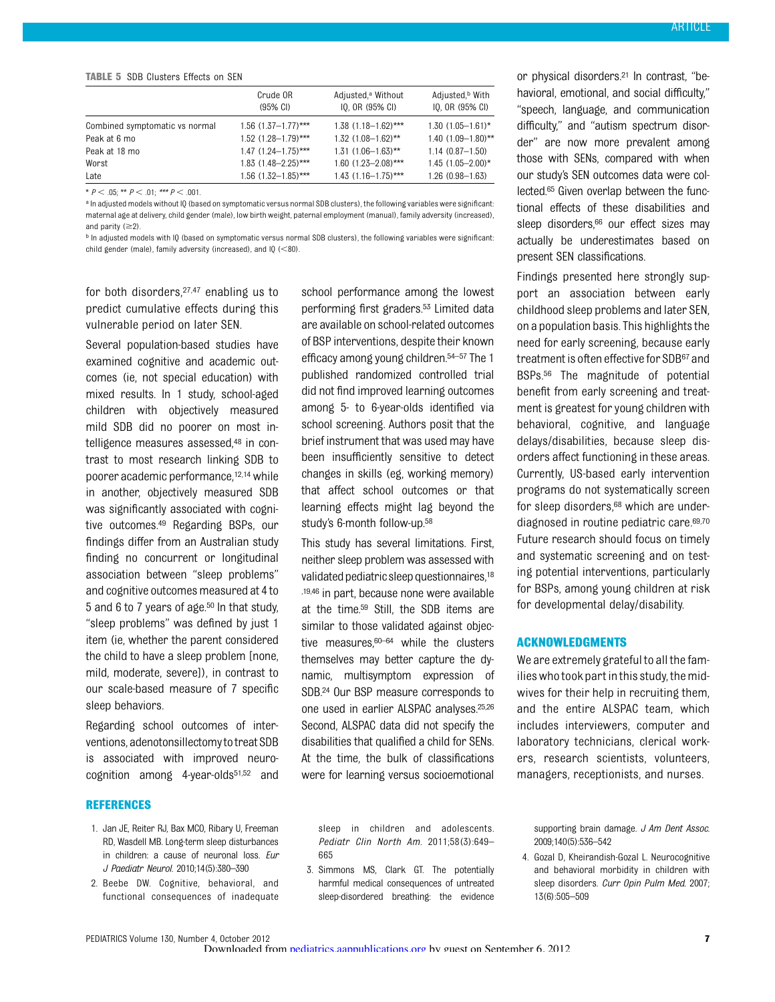#### TABLE 5 SDB Clusters Effects on SEN

|                                | Crude OR<br>$(95% \text{ Cl})$ | Adjusted, <sup>a</sup> Without<br>IQ, OR (95% CI) | Adjusted, <sup>b</sup> With<br>IO, OR (95% CI) |
|--------------------------------|--------------------------------|---------------------------------------------------|------------------------------------------------|
| Combined symptomatic vs normal | $1.56$ (1.37-1.77)***          | $1.38$ (1.18-1.62)***                             | $1.30(1.05 - 1.61)^*$                          |
| Peak at 6 mo                   | $1.52$ (1.28-1.79)***          | $1.32$ (1.08-1.62)**                              | $1.40$ (1.09-1.80)**                           |
| Peak at 18 mo                  | $1.47$ (1.24-1.75)***          | $1.31(1.06 - 1.63)$ **                            | $1.14(0.87 - 1.50)$                            |
| Worst                          | $1.83$ (1.48-2.25)***          | $1.60$ (1.23-2.08)***                             | $1.45$ (1.05-2.00)*                            |
| Late                           | $1.56$ $(1.32 - 1.85)$ ***     | $1.43$ (1.16-1.75)***                             | $1.26(0.98 - 1.63)$                            |

\*  $P < .05$ ; \*\*  $P < .01$ ; \*\*\*  $P < .001$ .

a In adjusted models without IQ (based on symptomatic versus normal SDB clusters), the following variables were significant: maternal age at delivery, child gender (male), low birth weight, paternal employment (manual), family adversity (increased), and parity  $(\geq 2)$ .

**b** In adjusted models with IQ (based on symptomatic versus normal SDB clusters), the following variables were significant: child gender (male), family adversity (increased), and IQ  $(<$ 80).

for both disorders,27,47 enabling us to predict cumulative effects during this vulnerable period on later SEN.

Several population-based studies have examined cognitive and academic outcomes (ie, not special education) with mixed results. In 1 study, school-aged children with objectively measured mild SDB did no poorer on most intelligence measures assessed,<sup>48</sup> in contrast to most research linking SDB to poorer academic performance,12,14while in another, objectively measured SDB was significantly associated with cognitive outcomes.49 Regarding BSPs, our findings differ from an Australian study finding no concurrent or longitudinal association between "sleep problems" and cognitive outcomes measured at 4 to 5 and 6 to 7 years of age. $50$  In that study, "sleep problems" was defined by just 1 item (ie, whether the parent considered the child to have a sleep problem [none, mild, moderate, severe]), in contrast to our scale-based measure of 7 specific sleep behaviors.

Regarding school outcomes of interventions, adenotonsillectomy to treat SDB is associated with improved neurocognition among  $4$ -year-olds $51,52$  and

#### REFERENCES

- 1. Jan JE, Reiter RJ, Bax MCO, Ribary U, Freeman RD, Wasdell MB. Long-term sleep disturbances in children: a cause of neuronal loss. Eur J Paediatr Neurol. 2010;14(5):380–390
- 2. Beebe DW. Cognitive, behavioral, and functional consequences of inadequate

school performance among the lowest performing first graders.<sup>53</sup> Limited data are available on school-related outcomes of BSP interventions, despite their known efficacy among young children.54–<sup>57</sup> The 1 published randomized controlled trial did not find improved learning outcomes among 5- to 6-year-olds identified via school screening. Authors posit that the brief instrument that was used may have been insufficiently sensitive to detect changes in skills (eg, working memory) that affect school outcomes or that learning effects might lag beyond the study's 6-month follow-up.58

This study has several limitations. First, neither sleep problem was assessed with validated pediatric sleep questionnaires,<sup>18</sup> ,19,46 in part, because none were available at the time.59 Still, the SDB items are similar to those validated against objective measures,60–<sup>64</sup> while the clusters themselves may better capture the dynamic, multisymptom expression of SDB.24 Our BSP measure corresponds to one used in earlier ALSPAC analyses.25,26 Second, ALSPAC data did not specify the disabilities that qualified a child for SENs. At the time, the bulk of classifications were for learning versus socioemotional

or physical disorders.21 In contrast, "behavioral, emotional, and social difficulty," "speech, language, and communication difficulty," and "autism spectrum disorder" are now more prevalent among those with SENs, compared with when our study's SEN outcomes data were collected.65 Given overlap between the functional effects of these disabilities and sleep disorders,<sup>66</sup> our effect sizes may actually be underestimates based on present SEN classifications.

Findings presented here strongly support an association between early childhood sleep problems and later SEN, on a population basis. This highlights the need for early screening, because early treatment is often effective for SDB67 and BSPs.56 The magnitude of potential benefit from early screening and treatment is greatest for young children with behavioral, cognitive, and language delays/disabilities, because sleep disorders affect functioning in these areas. Currently, US-based early intervention programs do not systematically screen for sleep disorders,<sup>68</sup> which are underdiagnosed in routine pediatric care.69,70 Future research should focus on timely and systematic screening and on testing potential interventions, particularly for BSPs, among young children at risk for developmental delay/disability.

#### ACKNOWLEDGMENTS

We are extremely grateful to all the families who took part in this study, the midwives for their help in recruiting them, and the entire ALSPAC team, which includes interviewers, computer and laboratory technicians, clerical workers, research scientists, volunteers, managers, receptionists, and nurses.

sleep in children and adolescents. Pediatr Clin North Am. 2011;58(3):649– 665

3. Simmons MS, Clark GT. The potentially harmful medical consequences of untreated sleep-disordered breathing: the evidence

supporting brain damage. J Am Dent Assoc. 2009;140(5):536–542

4. Gozal D, Kheirandish-Gozal L. Neurocognitive and behavioral morbidity in children with sleep disorders. Curr Opin Pulm Med. 2007; 13(6):505–509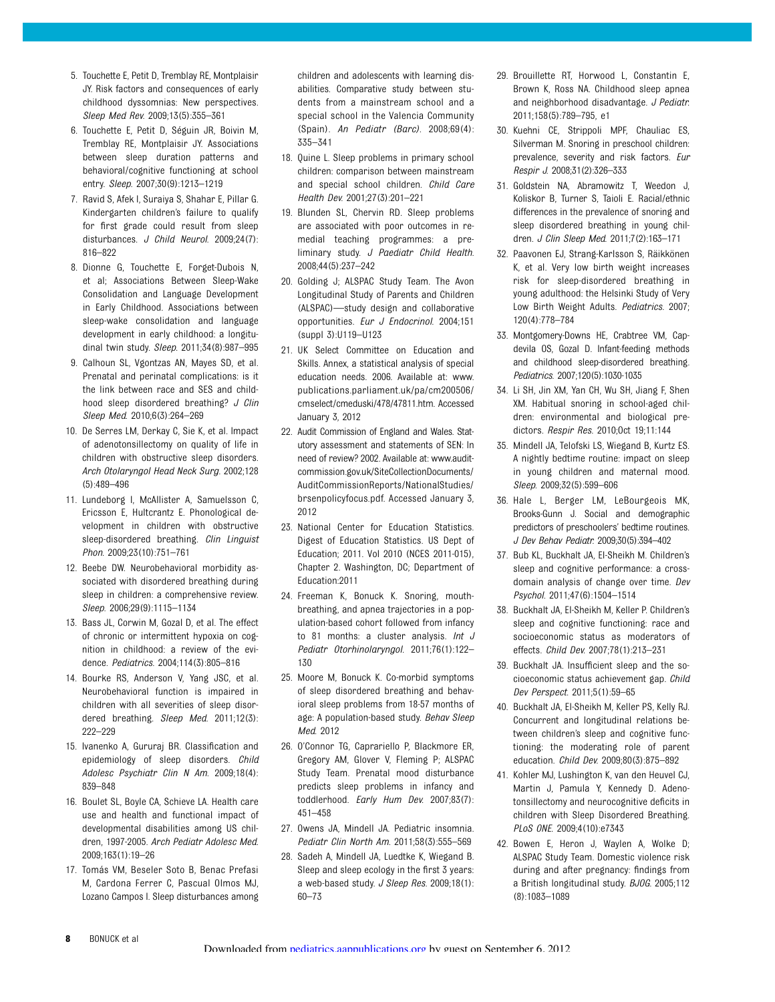- 5. Touchette E, Petit D, Tremblay RE, Montplaisir JY. Risk factors and consequences of early childhood dyssomnias: New perspectives. Sleep Med Rev. 2009;13(5):355–361
- 6. Touchette E, Petit D, Séguin JR, Boivin M, Tremblay RE, Montplaisir JY. Associations between sleep duration patterns and behavioral/cognitive functioning at school entry. Sleep. 2007;30(9):1213–1219
- 7. Ravid S, Afek I, Suraiya S, Shahar E, Pillar G. Kindergarten children's failure to qualify for first grade could result from sleep disturbances. J Child Neurol. 2009;24(7): 816–822
- 8. Dionne G, Touchette E, Forget-Dubois N, et al; Associations Between Sleep-Wake Consolidation and Language Development in Early Childhood. Associations between sleep-wake consolidation and language development in early childhood: a longitudinal twin study. Sleep. 2011;34(8):987-995
- 9. Calhoun SL, Vgontzas AN, Mayes SD, et al. Prenatal and perinatal complications: is it the link between race and SES and childhood sleep disordered breathing? J Clin Sleep Med. 2010;6(3):264–269
- 10. De Serres LM, Derkay C, Sie K, et al. Impact of adenotonsillectomy on quality of life in children with obstructive sleep disorders. Arch Otolaryngol Head Neck Surg. 2002;128 (5):489–496
- 11. Lundeborg I, McAllister A, Samuelsson C, Ericsson E, Hultcrantz E. Phonological development in children with obstructive sleep-disordered breathing. Clin Linguist Phon. 2009;23(10):751–761
- 12. Beebe DW. Neurobehavioral morbidity associated with disordered breathing during sleep in children: a comprehensive review. Sleep. 2006;29(9):1115–1134
- 13. Bass JL, Corwin M, Gozal D, et al. The effect of chronic or intermittent hypoxia on cognition in childhood: a review of the evidence. Pediatrics. 2004;114(3):805–816
- 14. Bourke RS, Anderson V, Yang JSC, et al. Neurobehavioral function is impaired in children with all severities of sleep disordered breathing. Sleep Med. 2011;12(3): 222–229
- 15. Ivanenko A, Gururaj BR. Classification and epidemiology of sleep disorders. Child Adolesc Psychiatr Clin N Am. 2009;18(4): 839–848
- 16. Boulet SL, Boyle CA, Schieve LA. Health care use and health and functional impact of developmental disabilities among US children, 1997-2005. Arch Pediatr Adolesc Med. 2009;163(1):19–26
- 17. Tomás VM, Beseler Soto B, Benac Prefasi M, Cardona Ferrer C, Pascual Olmos MJ, Lozano Campos I. Sleep disturbances among

children and adolescents with learning disabilities. Comparative study between students from a mainstream school and a special school in the Valencia Community (Spain). An Pediatr (Barc). 2008;69(4): 335–341

- 18. Quine L. Sleep problems in primary school children: comparison between mainstream and special school children. Child Care Health Dev. 2001;27(3):201–221
- 19. Blunden SL, Chervin RD. Sleep problems are associated with poor outcomes in remedial teaching programmes: a preliminary study. J Paediatr Child Health. 2008;44(5):237–242
- 20. Golding J; ALSPAC Study Team. The Avon Longitudinal Study of Parents and Children (ALSPAC)—study design and collaborative opportunities. Eur J Endocrinol. 2004;151 (suppl 3):U119–U123
- 21. UK Select Committee on Education and Skills. Annex, a statistical analysis of special education needs. 2006. Available at: [www.](http://www.publications.parliament.uk/pa/cm200506/cmselect/cmeduski/478/47811.htm) [publications.parliament.uk/pa/cm200506/](http://www.publications.parliament.uk/pa/cm200506/cmselect/cmeduski/478/47811.htm) [cmselect/cmeduski/478/47811.htm](http://www.publications.parliament.uk/pa/cm200506/cmselect/cmeduski/478/47811.htm). Accessed January 3, 2012
- 22. Audit Commission of England and Wales. Statutory assessment and statements of SEN: In need of review? 2002. Available at: [www.audit](http://www.audit-commission.gov.uk/SiteCollectionDocuments/AuditCommissionReports/NationalStudies/brsenpolicyfocus.pdf)[commission.gov.uk/SiteCollectionDocuments/](http://www.audit-commission.gov.uk/SiteCollectionDocuments/AuditCommissionReports/NationalStudies/brsenpolicyfocus.pdf) [AuditCommissionReports/NationalStudies/](http://www.audit-commission.gov.uk/SiteCollectionDocuments/AuditCommissionReports/NationalStudies/brsenpolicyfocus.pdf) [brsenpolicyfocus.pdf.](http://www.audit-commission.gov.uk/SiteCollectionDocuments/AuditCommissionReports/NationalStudies/brsenpolicyfocus.pdf) Accessed January 3, 2012
- 23. National Center for Education Statistics. Digest of Education Statistics. US Dept of Education; 2011. Vol 2010 (NCES 2011-015), Chapter 2. Washington, DC; Department of Education:2011
- 24. Freeman K, Bonuck K. Snoring, mouthbreathing, and apnea trajectories in a population-based cohort followed from infancy to 81 months: a cluster analysis. Int J Pediatr Otorhinolaryngol. 2011;76(1):122– 130
- 25. Moore M, Bonuck K. Co-morbid symptoms of sleep disordered breathing and behavioral sleep problems from 18-57 months of age: A population-based study. Behav Sleep Med. 2012
- 26. O'Connor TG, Caprariello P, Blackmore ER, Gregory AM, Glover V, Fleming P; ALSPAC Study Team. Prenatal mood disturbance predicts sleep problems in infancy and toddlerhood. Early Hum Dev. 2007;83(7): 451–458
- 27. Owens JA, Mindell JA. Pediatric insomnia. Pediatr Clin North Am. 2011;58(3):555–569
- 28. Sadeh A, Mindell JA, Luedtke K, Wiegand B. Sleep and sleep ecology in the first 3 years: a web-based study. J Sleep Res. 2009;18(1): 60–73
- 29. Brouillette RT, Horwood L, Constantin E, Brown K, Ross NA. Childhood sleep apnea and neighborhood disadvantage. J Pediatr. 2011;158(5):789–795, e1
- 30. Kuehni CE, Strippoli MPF, Chauliac ES, Silverman M. Snoring in preschool children: prevalence, severity and risk factors. Eur Respir J. 2008;31(2):326–333
- 31. Goldstein NA, Abramowitz T, Weedon J, Koliskor B, Turner S, Taioli E. Racial/ethnic differences in the prevalence of snoring and sleep disordered breathing in young children. J Clin Sleep Med. 2011;7(2):163–171
- 32. Paavonen EJ, Strang-Karlsson S, Räikkönen K, et al. Very low birth weight increases risk for sleep-disordered breathing in young adulthood: the Helsinki Study of Very Low Birth Weight Adults. Pediatrics. 2007; 120(4):778–784
- 33. Montgomery-Downs HE, Crabtree VM, Capdevila OS, Gozal D. Infant-feeding methods and childhood sleep-disordered breathing. Pediatrics. 2007;120(5):1030-1035
- 34. Li SH, Jin XM, Yan CH, Wu SH, Jiang F, Shen XM. Habitual snoring in school-aged children: environmental and biological predictors. Respir Res. 2010;Oct 19;11:144
- 35. Mindell JA, Telofski LS, Wiegand B, Kurtz ES. A nightly bedtime routine: impact on sleep in young children and maternal mood. Sleep. 2009;32(5):599–606
- 36. Hale L, Berger LM, LeBourgeois MK, Brooks-Gunn J. Social and demographic predictors of preschoolers' bedtime routines. J Dev Behav Pediatr. 2009;30(5):394–402
- 37. Bub KL, Buckhalt JA, El-Sheikh M. Children's sleep and cognitive performance: a crossdomain analysis of change over time. Dev Psychol. 2011;47(6):1504–1514
- 38. Buckhalt JA, El-Sheikh M, Keller P. Children's sleep and cognitive functioning: race and socioeconomic status as moderators of effects. Child Dev. 2007;78(1):213–231
- 39. Buckhalt JA. Insufficient sleep and the socioeconomic status achievement gap. Child Dev Perspect. 2011;5(1):59–65
- 40. Buckhalt JA, El-Sheikh M, Keller PS, Kelly RJ. Concurrent and longitudinal relations between children's sleep and cognitive functioning: the moderating role of parent education. Child Dev. 2009;80(3):875–892
- 41. Kohler MJ, Lushington K, van den Heuvel CJ, Martin J, Pamula Y, Kennedy D. Adenotonsillectomy and neurocognitive deficits in children with Sleep Disordered Breathing. PLoS ONE. 2009;4(10):e7343
- 42. Bowen E, Heron J, Waylen A, Wolke D; ALSPAC Study Team. Domestic violence risk during and after pregnancy: findings from a British longitudinal study. BJOG. 2005;112 (8):1083–1089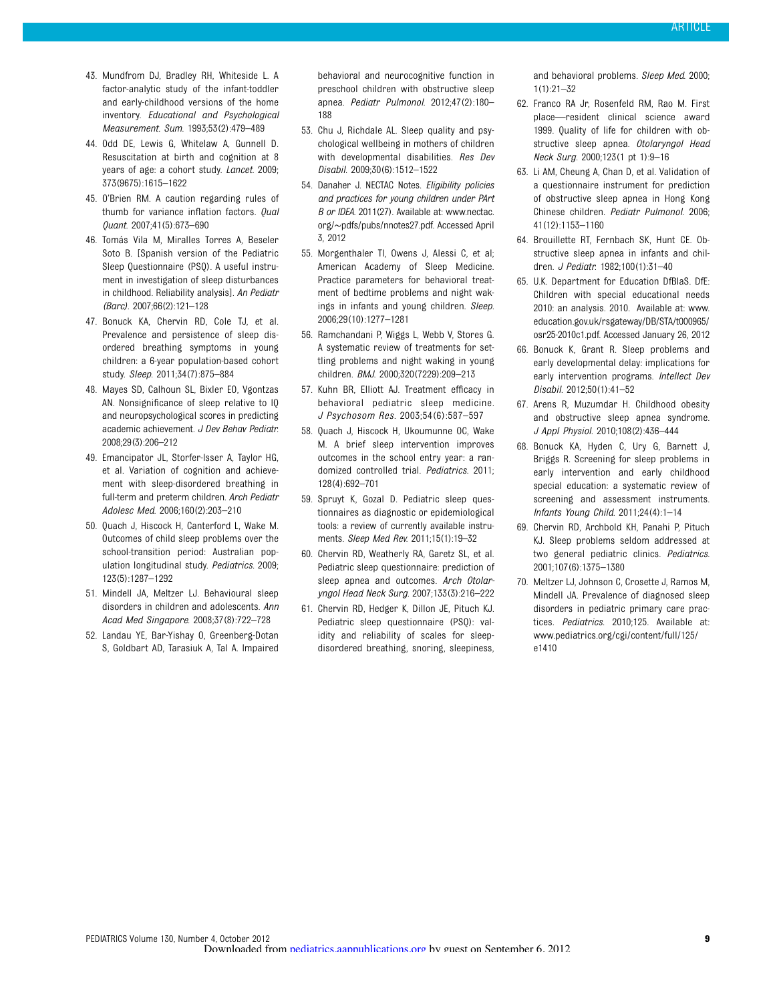- 43. Mundfrom DJ, Bradley RH, Whiteside L. A factor-analytic study of the infant-toddler and early-childhood versions of the home inventory. Educational and Psychological Measurement. Sum. 1993;53(2):479–489
- 44. Odd DE, Lewis G, Whitelaw A, Gunnell D. Resuscitation at birth and cognition at 8 years of age: a cohort study. Lancet. 2009; 373(9675):1615–1622
- 45. O'Brien RM. A caution regarding rules of thumb for variance inflation factors. Qual Quant. 2007;41(5):673–690
- 46. Tomás Vila M, Miralles Torres A, Beseler Soto B. [Spanish version of the Pediatric Sleep Questionnaire (PSQ). A useful instrument in investigation of sleep disturbances in childhood. Reliability analysis]. An Pediatr (Barc). 2007;66(2):121–128
- 47. Bonuck KA, Chervin RD, Cole TJ, et al. Prevalence and persistence of sleep disordered breathing symptoms in young children: a 6-year population-based cohort study. Sleep. 2011;34(7):875–884
- 48. Mayes SD, Calhoun SL, Bixler EO, Vgontzas AN. Nonsignificance of sleep relative to IQ and neuropsychological scores in predicting academic achievement. J Dev Behav Pediatr. 2008;29(3):206–212
- 49. Emancipator JL, Storfer-Isser A, Taylor HG, et al. Variation of cognition and achievement with sleep-disordered breathing in full-term and preterm children. Arch Pediatr Adolesc Med. 2006;160(2):203–210
- 50. Quach J, Hiscock H, Canterford L, Wake M. Outcomes of child sleep problems over the school-transition period: Australian population longitudinal study. Pediatrics. 2009; 123(5):1287–1292
- 51. Mindell JA, Meltzer LJ. Behavioural sleep disorders in children and adolescents. Ann Acad Med Singapore. 2008;37(8):722–728
- 52. Landau YE, Bar-Yishay O, Greenberg-Dotan S, Goldbart AD, Tarasiuk A, Tal A. Impaired

behavioral and neurocognitive function in preschool children with obstructive sleep apnea. Pediatr Pulmonol. 2012;47(2):180– 188

- 53. Chu J, Richdale AL. Sleep quality and psychological wellbeing in mothers of children with developmental disabilities. Res Dev Disabil. 2009;30(6):1512–1522
- 54. Danaher J. NECTAC Notes. Eligibility policies and practices for young children under PArt B or IDEA. 2011(27). Available at: [www.nectac.](http://www.nectac.org/~pdfs/pubs/nnotes27.pdf) org/∼[pdfs/pubs/nnotes27.pdf.](http://www.nectac.org/~pdfs/pubs/nnotes27.pdf) Accessed April 3, 2012
- 55. Morgenthaler TI, Owens J, Alessi C, et al; American Academy of Sleep Medicine. Practice parameters for behavioral treatment of bedtime problems and night wakings in infants and young children. Sleep. 2006;29(10):1277–1281
- 56. Ramchandani P, Wiggs L, Webb V, Stores G. A systematic review of treatments for settling problems and night waking in young children. BMJ. 2000;320(7229):209–213
- 57. Kuhn BR, Elliott AJ. Treatment efficacy in behavioral pediatric sleep medicine. J Psychosom Res. 2003;54(6):587–597
- 58. Quach J, Hiscock H, Ukoumunne OC, Wake M. A brief sleep intervention improves outcomes in the school entry year: a randomized controlled trial. Pediatrics. 2011; 128(4):692–701
- 59. Spruyt K, Gozal D. Pediatric sleep questionnaires as diagnostic or epidemiological tools: a review of currently available instruments. Sleep Med Rev. 2011;15(1):19–32
- 60. Chervin RD, Weatherly RA, Garetz SL, et al. Pediatric sleep questionnaire: prediction of sleep apnea and outcomes. Arch Otolaryngol Head Neck Surg. 2007;133(3):216–222
- 61. Chervin RD, Hedger K, Dillon JE, Pituch KJ. Pediatric sleep questionnaire (PSQ): validity and reliability of scales for sleepdisordered breathing, snoring, sleepiness,

and behavioral problems. Sleep Med. 2000;  $1(1):21-32$ 

- 62. Franco RA Jr, Rosenfeld RM, Rao M. First place—resident clinical science award 1999. Quality of life for children with obstructive sleep apnea. Otolaryngol Head Neck Surg. 2000;123(1 pt 1):9–16
- 63. Li AM, Cheung A, Chan D, et al. Validation of a questionnaire instrument for prediction of obstructive sleep apnea in Hong Kong Chinese children. Pediatr Pulmonol. 2006; 41(12):1153–1160
- 64. Brouillette RT, Fernbach SK, Hunt CE. Obstructive sleep apnea in infants and children. J Pediatr. 1982;100(1):31–40
- 65. U.K. Department for Education DfBIaS. DfE: Children with special educational needs 2010: an analysis. 2010. Available at: [www.](http://www.education.gov.uk/rsgateway/DB/STA/t000965/osr25-2010c1.pdf) [education.gov.uk/rsgateway/DB/STA/t000965/](http://www.education.gov.uk/rsgateway/DB/STA/t000965/osr25-2010c1.pdf) [osr25-2010c1.pdf](http://www.education.gov.uk/rsgateway/DB/STA/t000965/osr25-2010c1.pdf). Accessed January 26, 2012
- 66. Bonuck K, Grant R. Sleep problems and early developmental delay: implications for early intervention programs. Intellect Dev Disabil. 2012;50(1):41–52
- 67. Arens R, Muzumdar H. Childhood obesity and obstructive sleep apnea syndrome. J Appl Physiol. 2010;108(2):436–444
- 68. Bonuck KA, Hyden C, Ury G, Barnett J, Briggs R. Screening for sleep problems in early intervention and early childhood special education: a systematic review of screening and assessment instruments. Infants Young Child. 2011;24(4):1–14
- 69. Chervin RD, Archbold KH, Panahi P, Pituch KJ. Sleep problems seldom addressed at two general pediatric clinics. Pediatrics. 2001;107(6):1375–1380
- 70. Meltzer LJ, Johnson C, Crosette J, Ramos M, Mindell JA. Prevalence of diagnosed sleep disorders in pediatric primary care practices. Pediatrics. 2010;125. Available at: www.pediatrics.org/cgi/content/full/125/ e1410